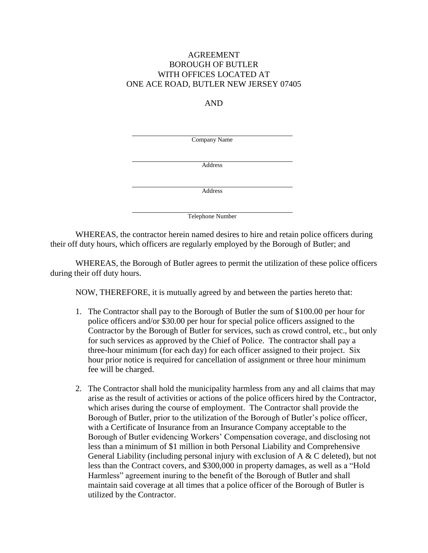## AGREEMENT BOROUGH OF BUTLER WITH OFFICES LOCATED AT ONE ACE ROAD, BUTLER NEW JERSEY 07405

## AND

Company Name

Address

Address

Telephone Number

WHEREAS, the contractor herein named desires to hire and retain police officers during their off duty hours, which officers are regularly employed by the Borough of Butler; and

WHEREAS, the Borough of Butler agrees to permit the utilization of these police officers during their off duty hours.

NOW, THEREFORE, it is mutually agreed by and between the parties hereto that:

- 1. The Contractor shall pay to the Borough of Butler the sum of \$100.00 per hour for police officers and/or \$30.00 per hour for special police officers assigned to the Contractor by the Borough of Butler for services, such as crowd control, etc., but only for such services as approved by the Chief of Police. The contractor shall pay a three-hour minimum (for each day) for each officer assigned to their project. Six hour prior notice is required for cancellation of assignment or three hour minimum fee will be charged.
- 2. The Contractor shall hold the municipality harmless from any and all claims that may arise as the result of activities or actions of the police officers hired by the Contractor, which arises during the course of employment. The Contractor shall provide the Borough of Butler, prior to the utilization of the Borough of Butler's police officer, with a Certificate of Insurance from an Insurance Company acceptable to the Borough of Butler evidencing Workers' Compensation coverage, and disclosing not less than a minimum of \$1 million in both Personal Liability and Comprehensive General Liability (including personal injury with exclusion of A & C deleted), but not less than the Contract covers, and \$300,000 in property damages, as well as a "Hold Harmless" agreement inuring to the benefit of the Borough of Butler and shall maintain said coverage at all times that a police officer of the Borough of Butler is utilized by the Contractor.